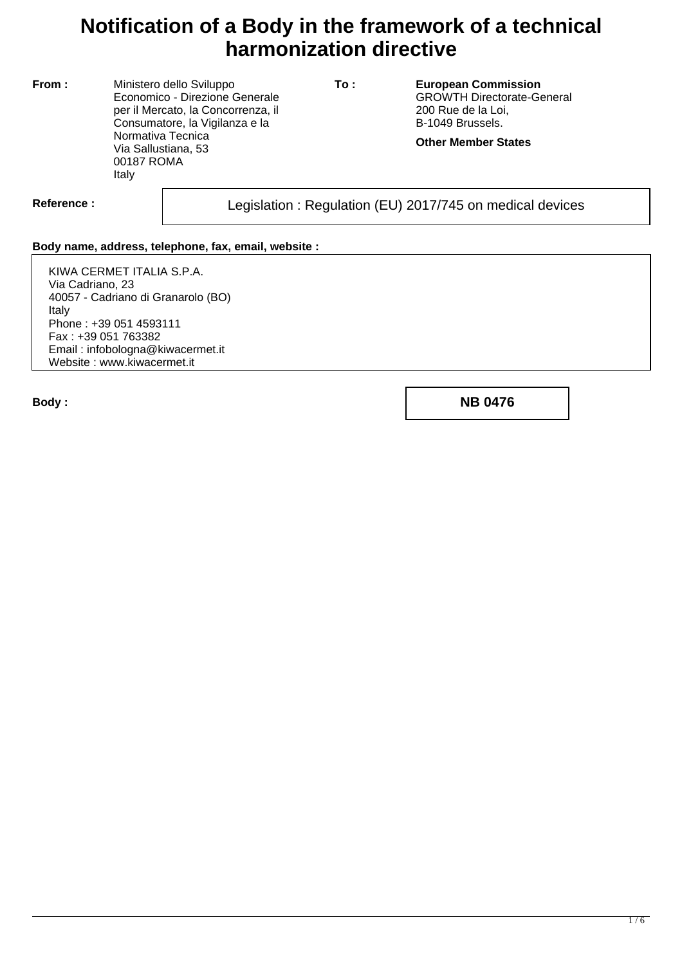## **Notification of a Body in the framework of a technical harmonization directive**

**From :** Ministero dello Sviluppo Economico - Direzione Generale per il Mercato, la Concorrenza, il Consumatore, la Vigilanza e la Normativa Tecnica Via Sallustiana, 53 00187 ROMA Italy

**To : European Commission** GROWTH Directorate-General 200 Rue de la Loi, B-1049 Brussels.

**Other Member States**

Reference : and **Legislation** : Regulation (EU) 2017/745 on medical devices

## **Body name, address, telephone, fax, email, website :**

KIWA CERMET ITALIA S.P.A. Via Cadriano, 23 40057 - Cadriano di Granarolo (BO) Italy Phone : +39 051 4593111 Fax : +39 051 763382 Email : infobologna@kiwacermet.it Website : www.kiwacermet.it

**Body : NB 0476**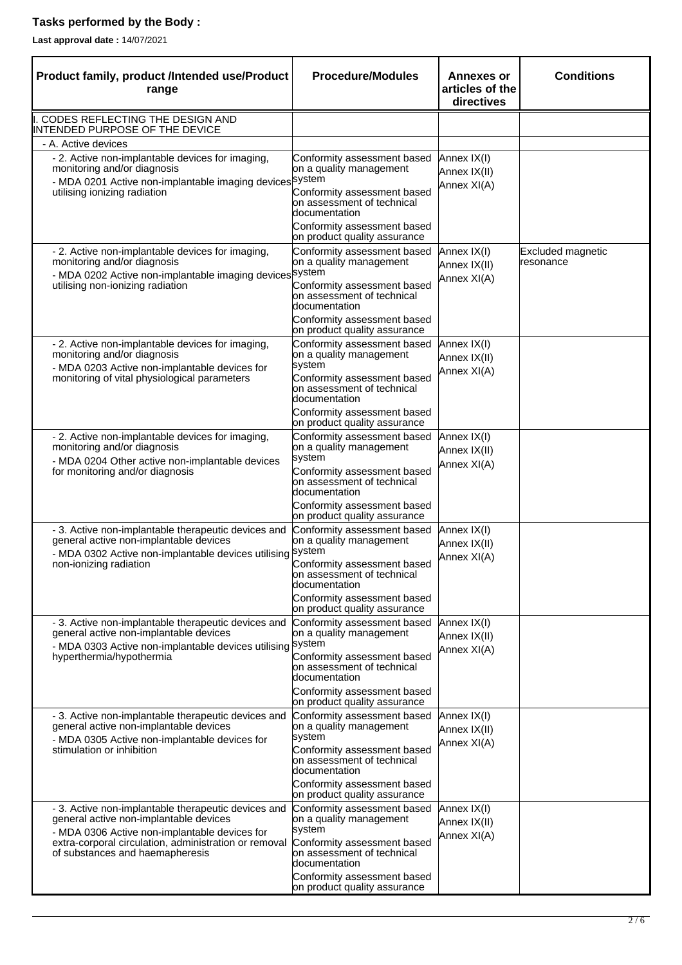## **Tasks performed by the Body :**

**Last approval date :** 14/07/2021

| Product family, product /Intended use/Product<br>range                                                                                                                                                                                     | <b>Procedure/Modules</b>                                                                                                                                                                                      | <b>Annexes or</b><br>articles of the<br>directives | <b>Conditions</b>              |
|--------------------------------------------------------------------------------------------------------------------------------------------------------------------------------------------------------------------------------------------|---------------------------------------------------------------------------------------------------------------------------------------------------------------------------------------------------------------|----------------------------------------------------|--------------------------------|
| CODES REFLECTING THE DESIGN AND<br>INTENDED PURPOSE OF THE DEVICE                                                                                                                                                                          |                                                                                                                                                                                                               |                                                    |                                |
| - A. Active devices                                                                                                                                                                                                                        |                                                                                                                                                                                                               |                                                    |                                |
| - 2. Active non-implantable devices for imaging,<br>monitoring and/or diagnosis<br>- MDA 0201 Active non-implantable imaging devices system<br>utilising ionizing radiation                                                                | Conformity assessment based<br>on a quality management<br>Conformity assessment based<br>on assessment of technical<br>documentation<br>Conformity assessment based<br>on product quality assurance           | Annex IX(I)<br>Annex IX(II)<br>Annex XI(A)         |                                |
| - 2. Active non-implantable devices for imaging,<br>monitoring and/or diagnosis<br>- MDA 0202 Active non-implantable imaging devices system<br>utilising non-ionizing radiation                                                            | Conformity assessment based<br>on a quality management<br>Conformity assessment based<br>on assessment of technical<br>documentation<br>Conformity assessment based<br>on product quality assurance           | Annex IX(I)<br>Annex IX(II)<br>Annex XI(A)         | Excluded magnetic<br>resonance |
| - 2. Active non-implantable devices for imaging,<br>monitoring and/or diagnosis<br>- MDA 0203 Active non-implantable devices for<br>monitoring of vital physiological parameters                                                           | Conformity assessment based<br>on a quality management<br>system<br>Conformity assessment based<br>on assessment of technical<br>documentation<br>Conformity assessment based<br>on product quality assurance | Annex IX(I)<br>Annex IX(II)<br>Annex XI(A)         |                                |
| - 2. Active non-implantable devices for imaging,<br>monitoring and/or diagnosis<br>- MDA 0204 Other active non-implantable devices<br>for monitoring and/or diagnosis                                                                      | Conformity assessment based<br>on a quality management<br>system<br>Conformity assessment based<br>on assessment of technical<br>documentation<br>Conformity assessment based<br>on product quality assurance | Annex IX(I)<br>Annex IX(II)<br>Annex XI(A)         |                                |
| - 3. Active non-implantable therapeutic devices and<br>general active non-implantable devices<br>- MDA 0302 Active non-implantable devices utilising<br>non-ionizing radiation                                                             | Conformity assessment based<br>on a quality management<br>system<br>Conformity assessment based<br>on assessment of technical<br>documentation<br>Conformity assessment based<br>on product quality assurance | Annex IX(I)<br>Annex IX(II)<br>Annex XI(A)         |                                |
| - 3. Active non-implantable therapeutic devices and<br>general active non-implantable devices<br>- MDA 0303 Active non-implantable devices utilising System<br>hyperthermia/hypothermia                                                    | Conformity assessment based<br>on a quality management<br>Conformity assessment based<br>on assessment of technical<br>documentation<br>Conformity assessment based<br>on product quality assurance           | Annex IX(I)<br>Annex IX(II)<br>Annex XI(A)         |                                |
| - 3. Active non-implantable therapeutic devices and<br>general active non-implantable devices<br>- MDA 0305 Active non-implantable devices for<br>stimulation or inhibition                                                                | Conformity assessment based<br>on a quality management<br>system<br>Conformity assessment based<br>on assessment of technical<br>documentation<br>Conformity assessment based<br>on product quality assurance | Annex IX(I)<br>Annex IX(II)<br>Annex XI(A)         |                                |
| - 3. Active non-implantable therapeutic devices and<br>general active non-implantable devices<br>- MDA 0306 Active non-implantable devices for<br>extra-corporal circulation, administration or removal<br>of substances and haemapheresis | Conformity assessment based<br>on a quality management<br>system<br>Conformity assessment based<br>on assessment of technical<br>documentation<br>Conformity assessment based<br>on product quality assurance | Annex IX(I)<br>Annex IX(II)<br>Annex XI(A)         |                                |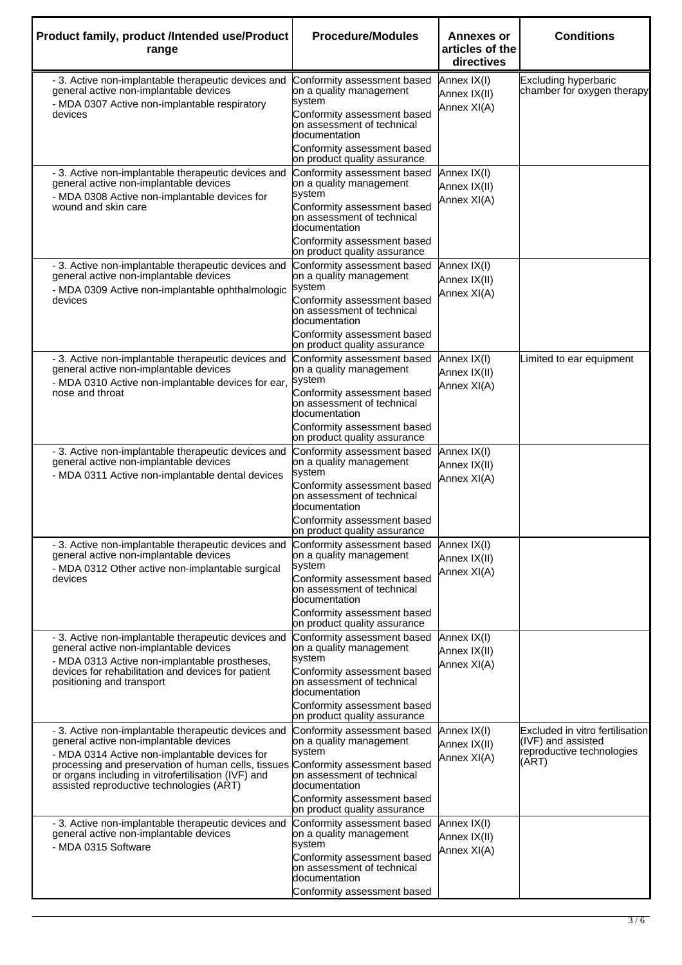| Product family, product /Intended use/Product<br>range                                                                                                                                                                                                                                                   | <b>Procedure/Modules</b>                                                                                                                                                                                      | <b>Annexes or</b><br>articles of the<br>directives | <b>Conditions</b>                                                                           |
|----------------------------------------------------------------------------------------------------------------------------------------------------------------------------------------------------------------------------------------------------------------------------------------------------------|---------------------------------------------------------------------------------------------------------------------------------------------------------------------------------------------------------------|----------------------------------------------------|---------------------------------------------------------------------------------------------|
| - 3. Active non-implantable therapeutic devices and<br>general active non-implantable devices<br>- MDA 0307 Active non-implantable respiratory<br>devices                                                                                                                                                | Conformity assessment based<br>on a quality management<br>system<br>Conformity assessment based<br>on assessment of technical<br>documentation                                                                | Annex IX(I)<br>Annex IX(II)<br>Annex XI(A)         | <b>Excluding hyperbaric</b><br>chamber for oxygen therapy                                   |
|                                                                                                                                                                                                                                                                                                          | Conformity assessment based<br>on product quality assurance                                                                                                                                                   |                                                    |                                                                                             |
| - 3. Active non-implantable therapeutic devices and<br>general active non-implantable devices<br>- MDA 0308 Active non-implantable devices for<br>wound and skin care                                                                                                                                    | Conformity assessment based<br>on a quality management<br>system<br>Conformity assessment based<br>on assessment of technical<br>documentation<br>Conformity assessment based<br>on product quality assurance | Annex IX(I)<br>Annex IX(II)<br>Annex XI(A)         |                                                                                             |
| - 3. Active non-implantable therapeutic devices and<br>general active non-implantable devices<br>- MDA 0309 Active non-implantable ophthalmologic<br>devices                                                                                                                                             | Conformity assessment based<br>on a quality management<br>system<br>Conformity assessment based<br>on assessment of technical<br>documentation<br>Conformity assessment based<br>on product quality assurance | Annex IX(I)<br>Annex IX(II)<br>Annex XI(A)         |                                                                                             |
| - 3. Active non-implantable therapeutic devices and<br>general active non-implantable devices<br>- MDA 0310 Active non-implantable devices for ear,<br>nose and throat                                                                                                                                   | Conformity assessment based<br>on a quality management<br>system<br>Conformity assessment based<br>on assessment of technical<br>documentation<br>Conformity assessment based<br>on product quality assurance | Annex IX(I)<br>Annex IX(II)<br>Annex XI(A)         | Limited to ear equipment                                                                    |
| - 3. Active non-implantable therapeutic devices and<br>general active non-implantable devices<br>- MDA 0311 Active non-implantable dental devices                                                                                                                                                        | Conformity assessment based<br>on a quality management<br>system<br>Conformity assessment based<br>on assessment of technical<br>documentation<br>Conformity assessment based<br>on product quality assurance | Annex IX(I)<br>Annex IX(II)<br>Annex XI(A)         |                                                                                             |
| - 3. Active non-implantable therapeutic devices and<br>general active non-implantable devices<br>- MDA 0312 Other active non-implantable surgical<br>devices                                                                                                                                             | Conformity assessment based<br>on a quality management<br>system<br>Conformity assessment based<br>on assessment of technical<br>documentation<br>Conformity assessment based<br>on product quality assurance | Annex IX(I)<br>Annex IX(II)<br>Annex XI(A)         |                                                                                             |
| - 3. Active non-implantable therapeutic devices and<br>general active non-implantable devices<br>- MDA 0313 Active non-implantable prostheses,<br>devices for rehabilitation and devices for patient<br>positioning and transport                                                                        | Conformity assessment based<br>on a quality management<br>system<br>Conformity assessment based<br>on assessment of technical<br>documentation<br>Conformity assessment based<br>on product quality assurance | Annex IX(I)<br>Annex IX(II)<br>Annex XI(A)         |                                                                                             |
| - 3. Active non-implantable therapeutic devices and<br>general active non-implantable devices<br>- MDA 0314 Active non-implantable devices for<br>processing and preservation of human cells, tissues<br>or organs including in vitrofertilisation (IVF) and<br>assisted reproductive technologies (ART) | Conformity assessment based<br>on a quality management<br>system<br>Conformity assessment based<br>on assessment of technical<br>documentation<br>Conformity assessment based<br>on product quality assurance | Annex IX(I)<br>Annex IX(II)<br>Annex XI(A)         | Excluded in vitro fertilisation<br>(IVF) and assisted<br>reproductive technologies<br>(ART) |
| - 3. Active non-implantable therapeutic devices and<br>general active non-implantable devices<br>- MDA 0315 Software                                                                                                                                                                                     | Conformity assessment based<br>on a quality management<br>system<br>Conformity assessment based<br>on assessment of technical<br>documentation<br>Conformity assessment based                                 | Annex IX(I)<br>Annex IX(II)<br>Annex XI(A)         |                                                                                             |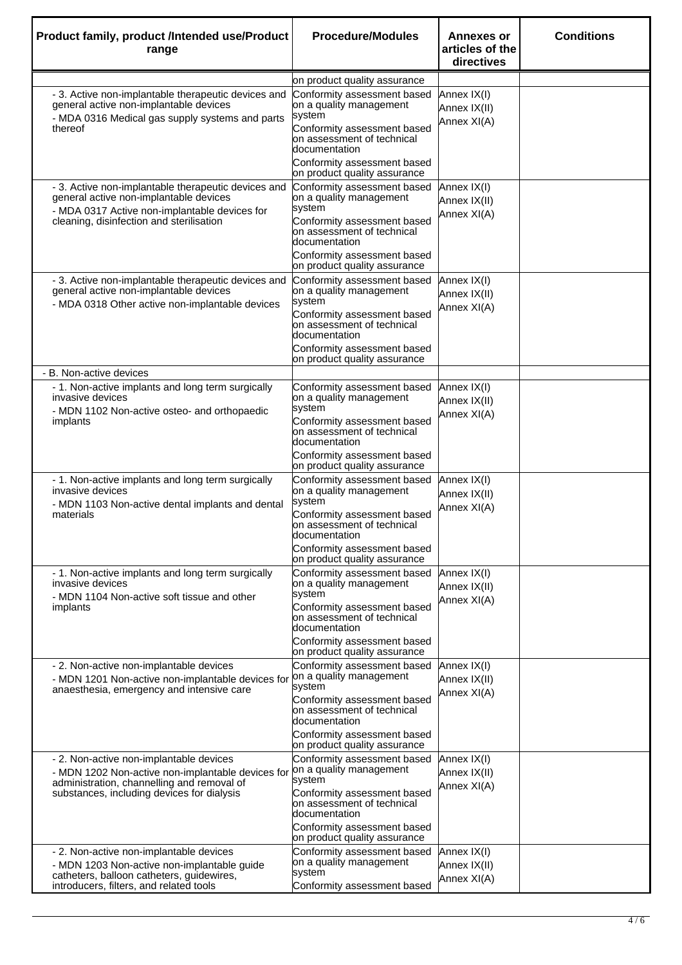| Product family, product /Intended use/Product<br>range                                                                                                                                     | <b>Procedure/Modules</b>                                                                                                                                                                                      | <b>Annexes or</b><br>articles of the<br>directives | <b>Conditions</b> |
|--------------------------------------------------------------------------------------------------------------------------------------------------------------------------------------------|---------------------------------------------------------------------------------------------------------------------------------------------------------------------------------------------------------------|----------------------------------------------------|-------------------|
|                                                                                                                                                                                            | on product quality assurance                                                                                                                                                                                  |                                                    |                   |
| - 3. Active non-implantable therapeutic devices and<br>general active non-implantable devices<br>- MDA 0316 Medical gas supply systems and parts<br>thereof                                | Conformity assessment based<br>on a quality management<br>system<br>Conformity assessment based<br>on assessment of technical<br>documentation<br>Conformity assessment based<br>on product quality assurance | Annex IX(I)<br>Annex IX(II)<br>Annex XI(A)         |                   |
| - 3. Active non-implantable therapeutic devices and<br>general active non-implantable devices<br>- MDA 0317 Active non-implantable devices for<br>cleaning, disinfection and sterilisation | Conformity assessment based<br>on a quality management<br>system<br>Conformity assessment based<br>on assessment of technical<br>documentation<br>Conformity assessment based<br>on product quality assurance | Annex IX(I)<br>Annex IX(II)<br>Annex XI(A)         |                   |
| - 3. Active non-implantable therapeutic devices and<br>general active non-implantable devices<br>- MDA 0318 Other active non-implantable devices                                           | Conformity assessment based<br>on a quality management<br>system<br>Conformity assessment based<br>on assessment of technical<br>documentation<br>Conformity assessment based<br>on product quality assurance | Annex IX(I)<br>Annex IX(II)<br>Annex XI(A)         |                   |
| - B. Non-active devices                                                                                                                                                                    |                                                                                                                                                                                                               |                                                    |                   |
| - 1. Non-active implants and long term surgically<br>invasive devices<br>- MDN 1102 Non-active osteo- and orthopaedic<br>implants                                                          | Conformity assessment based<br>on a quality management<br>system<br>Conformity assessment based<br>on assessment of technical<br>documentation<br>Conformity assessment based<br>on product quality assurance | Annex IX(I)<br>Annex IX(II)<br>Annex XI(A)         |                   |
| - 1. Non-active implants and long term surgically<br>invasive devices<br>- MDN 1103 Non-active dental implants and dental<br>materials                                                     | Conformity assessment based<br>on a quality management<br>system<br>Conformity assessment based<br>on assessment of technical<br>documentation<br>Conformity assessment based<br>on product quality assurance | Annex IX(I)<br>Annex IX(II)<br>Annex XI(A)         |                   |
| - 1. Non-active implants and long term surgically<br>invasive devices<br>- MDN 1104 Non-active soft tissue and other<br>implants                                                           | Conformity assessment based<br>on a quality management<br>system<br>Conformity assessment based<br>on assessment of technical<br>documentation<br>Conformity assessment based<br>on product quality assurance | Annex IX(I)<br>Annex IX(II)<br>Annex XI(A)         |                   |
| - 2. Non-active non-implantable devices<br>- MDN 1201 Non-active non-implantable devices for<br>anaesthesia, emergency and intensive care                                                  | Conformity assessment based<br>on a quality management<br>system<br>Conformity assessment based<br>on assessment of technical<br>documentation<br>Conformity assessment based<br>on product quality assurance | Annex IX(I)<br>Annex IX(II)<br>Annex XI(A)         |                   |
| - 2. Non-active non-implantable devices<br>- MDN 1202 Non-active non-implantable devices for<br>administration, channelling and removal of<br>substances, including devices for dialysis   | Conformity assessment based<br>on a quality management<br>system<br>Conformity assessment based<br>on assessment of technical<br>documentation<br>Conformity assessment based<br>on product quality assurance | Annex IX(I)<br>Annex IX(II)<br>Annex XI(A)         |                   |
| - 2. Non-active non-implantable devices<br>- MDN 1203 Non-active non-implantable guide<br>catheters, balloon catheters, guidewires,<br>introducers, filters, and related tools             | Conformity assessment based<br>on a quality management<br>system<br>Conformity assessment based                                                                                                               | Annex IX(I)<br>Annex IX(II)<br>Annex XI(A)         |                   |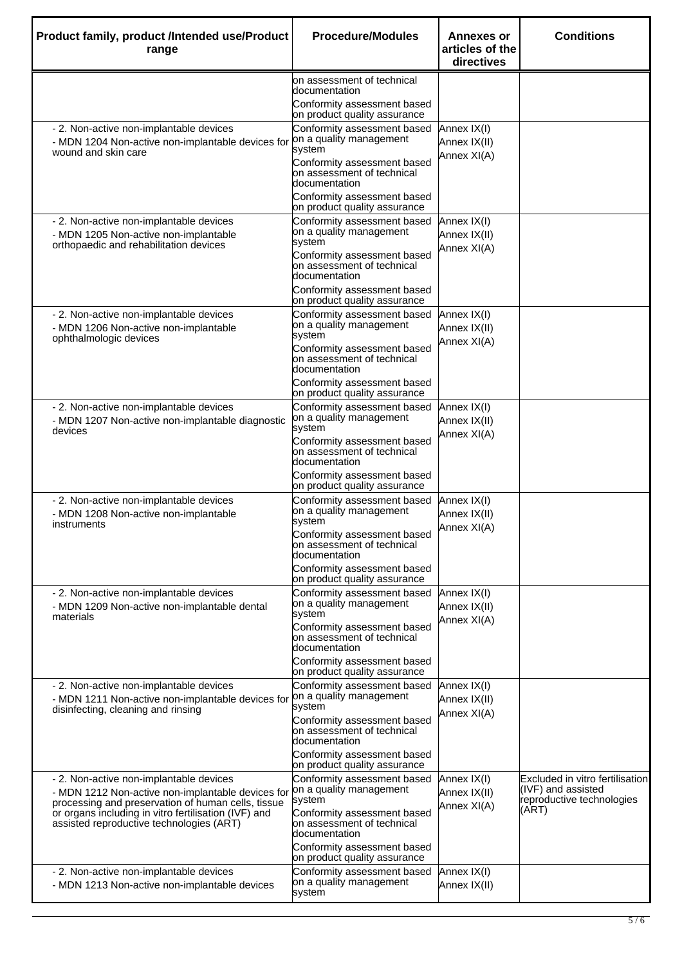| Product family, product /Intended use/Product<br>range                                                                                                                                                                                                 | <b>Procedure/Modules</b>                                                                                   | <b>Annexes or</b><br>articles of the<br>directives | <b>Conditions</b>                                                                           |
|--------------------------------------------------------------------------------------------------------------------------------------------------------------------------------------------------------------------------------------------------------|------------------------------------------------------------------------------------------------------------|----------------------------------------------------|---------------------------------------------------------------------------------------------|
|                                                                                                                                                                                                                                                        | on assessment of technical<br>documentation<br>Conformity assessment based<br>on product quality assurance |                                                    |                                                                                             |
| - 2. Non-active non-implantable devices<br>- MDN 1204 Non-active non-implantable devices for<br>wound and skin care                                                                                                                                    | Conformity assessment based<br>on a quality management<br>system<br>Conformity assessment based            | Annex IX(I)<br>Annex IX(II)<br>Annex XI(A)         |                                                                                             |
|                                                                                                                                                                                                                                                        | on assessment of technical<br>documentation<br>Conformity assessment based                                 |                                                    |                                                                                             |
| - 2. Non-active non-implantable devices<br>- MDN 1205 Non-active non-implantable                                                                                                                                                                       | on product quality assurance<br>Conformity assessment based<br>on a quality management<br>system           | Annex IX(I)<br>Annex IX(II)                        |                                                                                             |
| orthopaedic and rehabilitation devices                                                                                                                                                                                                                 | Conformity assessment based<br>on assessment of technical<br>documentation                                 | Annex XI(A)                                        |                                                                                             |
|                                                                                                                                                                                                                                                        | Conformity assessment based<br>on product quality assurance                                                |                                                    |                                                                                             |
| - 2. Non-active non-implantable devices<br>- MDN 1206 Non-active non-implantable<br>ophthalmologic devices                                                                                                                                             | Conformity assessment based<br>on a quality management<br>system                                           | Annex IX(I)<br>Annex IX(II)<br>Annex XI(A)         |                                                                                             |
|                                                                                                                                                                                                                                                        | Conformity assessment based<br>on assessment of technical<br>documentation<br>Conformity assessment based  |                                                    |                                                                                             |
|                                                                                                                                                                                                                                                        | on product quality assurance                                                                               |                                                    |                                                                                             |
| - 2. Non-active non-implantable devices<br>- MDN 1207 Non-active non-implantable diagnostic<br>devices                                                                                                                                                 | Conformity assessment based<br>on a quality management<br>system                                           | Annex IX(I)<br>Annex IX(II)<br>Annex XI(A)         |                                                                                             |
|                                                                                                                                                                                                                                                        | Conformity assessment based<br>on assessment of technical<br>documentation                                 |                                                    |                                                                                             |
|                                                                                                                                                                                                                                                        | Conformity assessment based<br>on product quality assurance                                                |                                                    |                                                                                             |
| - 2. Non-active non-implantable devices<br>- MDN 1208 Non-active non-implantable<br>instruments                                                                                                                                                        | Conformity assessment based<br>on a quality management<br>system                                           | Annex IX(I)<br>Annex IX(II)<br>Annex XI(A)         |                                                                                             |
|                                                                                                                                                                                                                                                        | Conformity assessment based<br>on assessment of technical<br>documentation<br>Conformity assessment based  |                                                    |                                                                                             |
|                                                                                                                                                                                                                                                        | on product quality assurance                                                                               |                                                    |                                                                                             |
| - 2. Non-active non-implantable devices<br>- MDN 1209 Non-active non-implantable dental<br>materials                                                                                                                                                   | Conformity assessment based<br>on a quality management<br>system                                           | Annex IX(I)<br>Annex IX(II)<br>Annex XI(A)         |                                                                                             |
|                                                                                                                                                                                                                                                        | Conformity assessment based<br>on assessment of technical<br>documentation                                 |                                                    |                                                                                             |
|                                                                                                                                                                                                                                                        | Conformity assessment based<br>on product quality assurance                                                |                                                    |                                                                                             |
| - 2. Non-active non-implantable devices<br>- MDN 1211 Non-active non-implantable devices for<br>disinfecting, cleaning and rinsing                                                                                                                     | Conformity assessment based<br>on a quality management<br>system                                           | Annex IX(I)<br>Annex IX(II)<br>Annex XI(A)         |                                                                                             |
|                                                                                                                                                                                                                                                        | Conformity assessment based<br>on assessment of technical<br>documentation                                 |                                                    |                                                                                             |
|                                                                                                                                                                                                                                                        | Conformity assessment based<br>on product quality assurance                                                |                                                    |                                                                                             |
| - 2. Non-active non-implantable devices<br>- MDN 1212 Non-active non-implantable devices for<br>processing and preservation of human cells, tissue<br>or organs including in vitro fertilisation (IVF) and<br>assisted reproductive technologies (ART) | Conformity assessment based<br>on a quality management<br>system                                           | Annex IX(I)<br>Annex IX(II)<br>Annex XI(A)         | Excluded in vitro fertilisation<br>(IVF) and assisted<br>reproductive technologies<br>(ART) |
|                                                                                                                                                                                                                                                        | Conformity assessment based<br>on assessment of technical<br>documentation                                 |                                                    |                                                                                             |
|                                                                                                                                                                                                                                                        | Conformity assessment based<br>on product quality assurance                                                |                                                    |                                                                                             |
| - 2. Non-active non-implantable devices<br>- MDN 1213 Non-active non-implantable devices                                                                                                                                                               | Conformity assessment based<br>on a quality management<br>system                                           | Annex IX(I)<br>Annex IX(II)                        |                                                                                             |